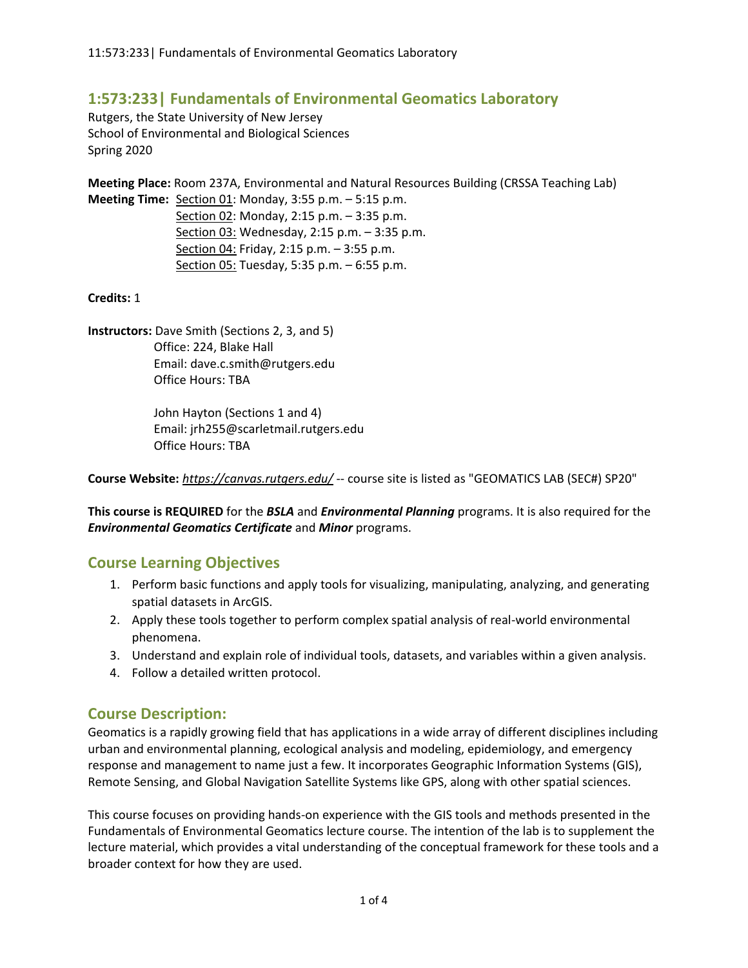# **1:573:233| Fundamentals of Environmental Geomatics Laboratory**

Rutgers, the State University of New Jersey School of Environmental and Biological Sciences Spring 2020

**Meeting Place:** Room 237A, Environmental and Natural Resources Building (CRSSA Teaching Lab) **Meeting Time:** Section 01: Monday, 3:55 p.m. – 5:15 p.m.

> Section 02: Monday, 2:15 p.m. – 3:35 p.m. Section 03: Wednesday, 2:15 p.m. – 3:35 p.m. Section 04: Friday, 2:15 p.m. – 3:55 p.m. Section 05: Tuesday, 5:35 p.m. – 6:55 p.m.

**Credits:** 1

**Instructors:** Dave Smith (Sections 2, 3, and 5) Office: 224, Blake Hall Email: dave.c.smith@rutgers.edu Office Hours: TBA

> John Hayton (Sections 1 and 4) Email: jrh255@scarletmail.rutgers.edu Office Hours: TBA

**Course Website:** *https://canvas.rutgers.edu/* -- course site is listed as "GEOMATICS LAB (SEC#) SP20"

**This course is REQUIRED** for the *BSLA* and *Environmental Planning* programs. It is also required for the *Environmental Geomatics Certificate* and *Minor* programs.

## **Course Learning Objectives**

- 1. Perform basic functions and apply tools for visualizing, manipulating, analyzing, and generating spatial datasets in ArcGIS.
- 2. Apply these tools together to perform complex spatial analysis of real-world environmental phenomena.
- 3. Understand and explain role of individual tools, datasets, and variables within a given analysis.
- 4. Follow a detailed written protocol.

## **Course Description:**

Geomatics is a rapidly growing field that has applications in a wide array of different disciplines including urban and environmental planning, ecological analysis and modeling, epidemiology, and emergency response and management to name just a few. It incorporates Geographic Information Systems (GIS), Remote Sensing, and Global Navigation Satellite Systems like GPS, along with other spatial sciences.

This course focuses on providing hands-on experience with the GIS tools and methods presented in the Fundamentals of Environmental Geomatics lecture course. The intention of the lab is to supplement the lecture material, which provides a vital understanding of the conceptual framework for these tools and a broader context for how they are used.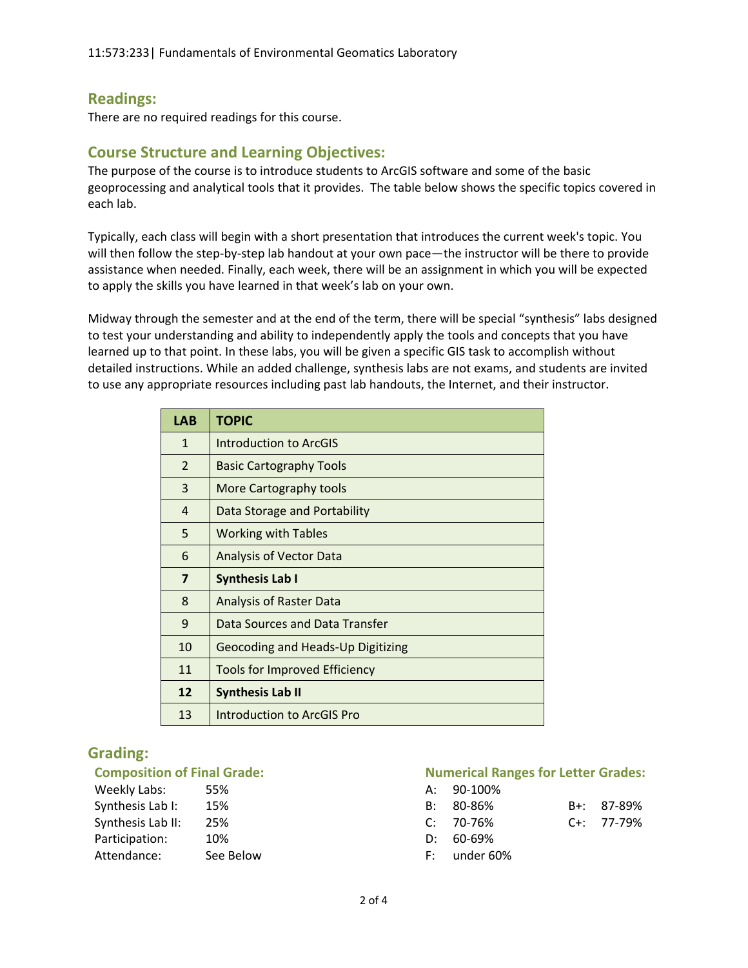## **Readings:**

There are no required readings for this course.

# **Course Structure and Learning Objectives:**

The purpose of the course is to introduce students to ArcGIS software and some of the basic geoprocessing and analytical tools that it provides. The table below shows the specific topics covered in each lab.

Typically, each class will begin with a short presentation that introduces the current week's topic. You will then follow the step-by-step lab handout at your own pace—the instructor will be there to provide assistance when needed. Finally, each week, there will be an assignment in which you will be expected to apply the skills you have learned in that week's lab on your own.

Midway through the semester and at the end of the term, there will be special "synthesis" labs designed to test your understanding and ability to independently apply the tools and concepts that you have learned up to that point. In these labs, you will be given a specific GIS task to accomplish without detailed instructions. While an added challenge, synthesis labs are not exams, and students are invited to use any appropriate resources including past lab handouts, the Internet, and their instructor.

| <b>LAB</b>              | <b>TOPIC</b>                         |
|-------------------------|--------------------------------------|
| $\mathbf{1}$            | <b>Introduction to ArcGIS</b>        |
| 2                       | <b>Basic Cartography Tools</b>       |
| 3                       | More Cartography tools               |
| 4                       | Data Storage and Portability         |
| 5                       | <b>Working with Tables</b>           |
| 6                       | <b>Analysis of Vector Data</b>       |
| $\overline{\mathbf{z}}$ | <b>Synthesis Lab I</b>               |
| 8                       | <b>Analysis of Raster Data</b>       |
| 9                       | Data Sources and Data Transfer       |
| 10                      | Geocoding and Heads-Up Digitizing    |
| 11                      | <b>Tools for Improved Efficiency</b> |
| 12                      | <b>Synthesis Lab II</b>              |
| 13                      | Introduction to ArcGIS Pro           |

# **Grading:**

| Weekly Labs:      | 55%       |    | A: 90-100%  |
|-------------------|-----------|----|-------------|
| Synthesis Lab I:  | 15%       |    | $B: 80-86%$ |
| Synthesis Lab II: | 25%       |    | $C: 70-76%$ |
| Participation:    | 10%       | D: | 60-69%      |
| Attendance:       | See Below |    | under 60    |

#### **Composition of Final Grade: Numerical Ranges for Letter Grades: Numerical Ranges for Letter Grades:**

| B+: 87-89% |
|------------|
| C+: 77-79% |
|            |
|            |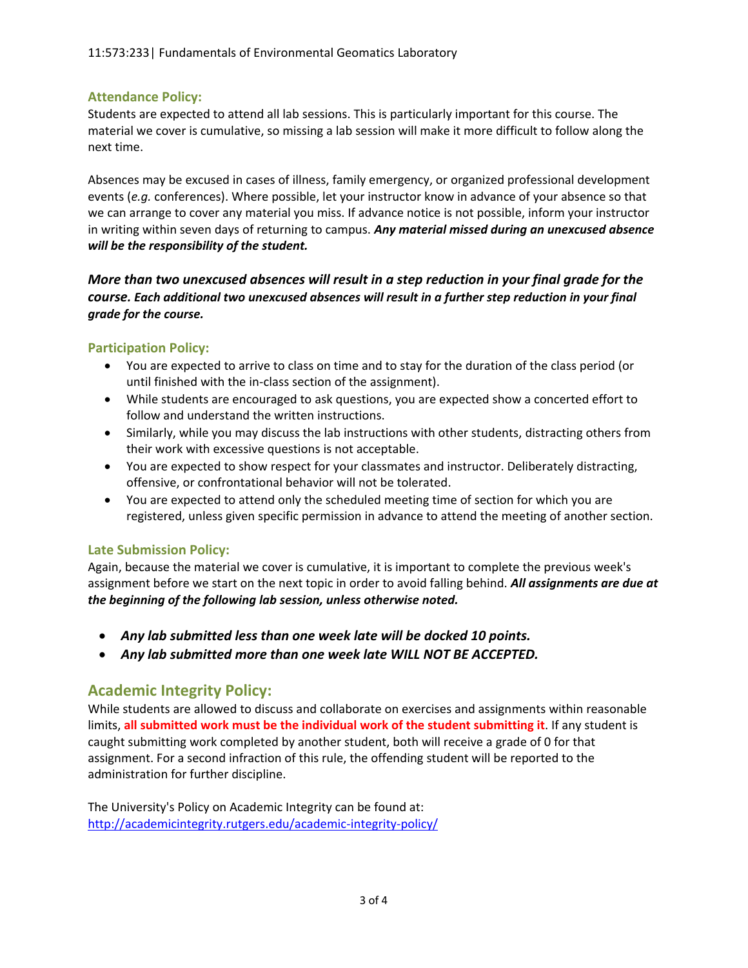### **Attendance Policy:**

Students are expected to attend all lab sessions. This is particularly important for this course. The material we cover is cumulative, so missing a lab session will make it more difficult to follow along the next time.

Absences may be excused in cases of illness, family emergency, or organized professional development events (*e.g.* conferences). Where possible, let your instructor know in advance of your absence so that we can arrange to cover any material you miss. If advance notice is not possible, inform your instructor in writing within seven days of returning to campus. *Any material missed during an unexcused absence will be the responsibility of the student.*

*More than two unexcused absences will result in a step reduction in your final grade for the course. Each additional two unexcused absences will result in a further step reduction in your final grade for the course.*

### **Participation Policy:**

- You are expected to arrive to class on time and to stay for the duration of the class period (or until finished with the in-class section of the assignment).
- While students are encouraged to ask questions, you are expected show a concerted effort to follow and understand the written instructions.
- Similarly, while you may discuss the lab instructions with other students, distracting others from their work with excessive questions is not acceptable.
- You are expected to show respect for your classmates and instructor. Deliberately distracting, offensive, or confrontational behavior will not be tolerated.
- You are expected to attend only the scheduled meeting time of section for which you are registered, unless given specific permission in advance to attend the meeting of another section.

### **Late Submission Policy:**

Again, because the material we cover is cumulative, it is important to complete the previous week's assignment before we start on the next topic in order to avoid falling behind. *All assignments are due at the beginning of the following lab session, unless otherwise noted.*

- *Any lab submitted less than one week late will be docked 10 points.*
- *Any lab submitted more than one week late WILL NOT BE ACCEPTED.*

## **Academic Integrity Policy:**

While students are allowed to discuss and collaborate on exercises and assignments within reasonable limits, **all submitted work must be the individual work of the student submitting it**. If any student is caught submitting work completed by another student, both will receive a grade of 0 for that assignment. For a second infraction of this rule, the offending student will be reported to the administration for further discipline.

The University's Policy on Academic Integrity can be found at: <http://academicintegrity.rutgers.edu/academic-integrity-policy/>